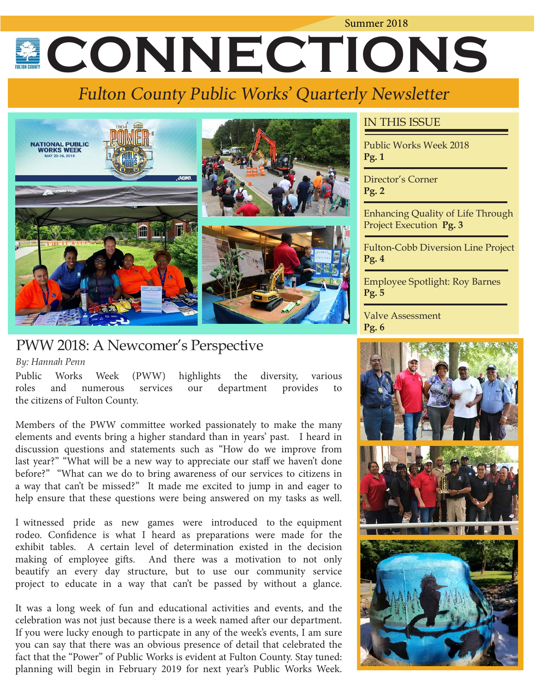# Summer 2018 **CONNECTIONS**

# Fulton County Public Works' Quarterly Newsletter



# PWW 2018: A Newcomer's Perspective

#### *By: Hannah Penn*

Public Works Week (PWW) highlights the diversity, various roles and numerous services our department provides to the citizens of Fulton County.

Members of the PWW committee worked passionately to make the many elements and events bring a higher standard than in years' past. I heard in discussion questions and statements such as "How do we improve from last year?" "What will be a new way to appreciate our staff we haven't done before?" "What can we do to bring awareness of our services to citizens in a way that can't be missed?" It made me excited to jump in and eager to help ensure that these questions were being answered on my tasks as well.

I witnessed pride as new games were introduced to the equipment rodeo. Confidence is what I heard as preparations were made for the exhibit tables. A certain level of determination existed in the decision making of employee gifts. And there was a motivation to not only beautify an every day structure, but to use our community service project to educate in a way that can't be passed by without a glance.

It was a long week of fun and educational activities and events, and the celebration was not just because there is a week named after our department. If you were lucky enough to particpate in any of the week's events, I am sure you can say that there was an obvious presence of detail that celebrated the fact that the "Power" of Public Works is evident at Fulton County. Stay tuned: planning will begin in February 2019 for next year's Public Works Week.

#### IN THIS ISSUE

Public Works Week 2018 **Pg. 1**

Director's Corner **Pg. 2**

Enhancing Quality of Life Through Project Execution **Pg. 3**

Fulton-Cobb Diversion Line Project **Pg. 4**

Employee Spotlight: Roy Barnes **Pg. 5**

Valve Assessment **Pg. 6**

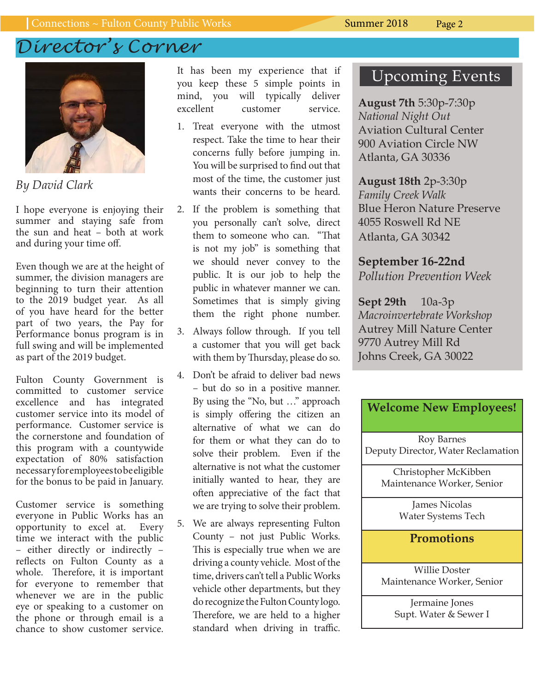# *Director's Corner*



*By David Clark* 

I hope everyone is enjoying their summer and staying safe from the sun and heat – both at work and during your time off.

Even though we are at the height of summer, the division managers are beginning to turn their attention to the 2019 budget year. As all of you have heard for the better part of two years, the Pay for Performance bonus program is in full swing and will be implemented as part of the 2019 budget.

Fulton County Government is committed to customer service excellence and has integrated customer service into its model of performance. Customer service is the cornerstone and foundation of this program with a countywide expectation of 80% satisfaction necessary for employees to be eligible for the bonus to be paid in January.

Customer service is something everyone in Public Works has an opportunity to excel at. Every time we interact with the public – either directly or indirectly – reflects on Fulton County as a whole. Therefore, it is important for everyone to remember that whenever we are in the public eye or speaking to a customer on the phone or through email is a chance to show customer service.

It has been my experience that if you keep these 5 simple points in mind, you will typically deliver excellent customer service.

- 1. Treat everyone with the utmost respect. Take the time to hear their concerns fully before jumping in. You will be surprised to find out that most of the time, the customer just wants their concerns to be heard.
- 2. If the problem is something that you personally can't solve, direct them to someone who can. "That is not my job" is something that we should never convey to the public. It is our job to help the public in whatever manner we can. Sometimes that is simply giving them the right phone number.
- 3. Always follow through. If you tell a customer that you will get back with them by Thursday, please do so.
- 4. Don't be afraid to deliver bad news – but do so in a positive manner. By using the "No, but …" approach is simply offering the citizen an alternative of what we can do for them or what they can do to solve their problem. Even if the alternative is not what the customer initially wanted to hear, they are often appreciative of the fact that we are trying to solve their problem.
- 5. We are always representing Fulton County – not just Public Works. This is especially true when we are driving a county vehicle. Most of the time, drivers can't tell a Public Works vehicle other departments, but they do recognize the Fulton County logo. Therefore, we are held to a higher standard when driving in traffic.

# Upcoming Events

**August 7th** 5:30p-7:30p *National Night Out*  Aviation Cultural Center 900 Aviation Circle NW Atlanta, GA 30336

**August 18th** 2p-3:30p *Family Creek Walk* Blue Heron Nature Preserve 4055 Roswell Rd NE Atlanta, GA 30342

## **September 16-22nd**

*Pollution Prevention Week*

**Sept 29th** 10a-3p *Macroinvertebrate Workshop* Autrey Mill Nature Center 9770 Autrey Mill Rd Johns Creek, GA 30022

| <b>Welcome New Employees!</b>      |
|------------------------------------|
| Roy Barnes                         |
| Deputy Director, Water Reclamation |
| Christopher McKibben               |
| Maintenance Worker, Senior         |
| James Nicolas                      |
| Water Systems Tech                 |
| <b>Promotions</b>                  |
| Willie Doster                      |
| Maintenance Worker, Senior         |
| Jermaine Jones                     |
| Supt. Water & Sewer I              |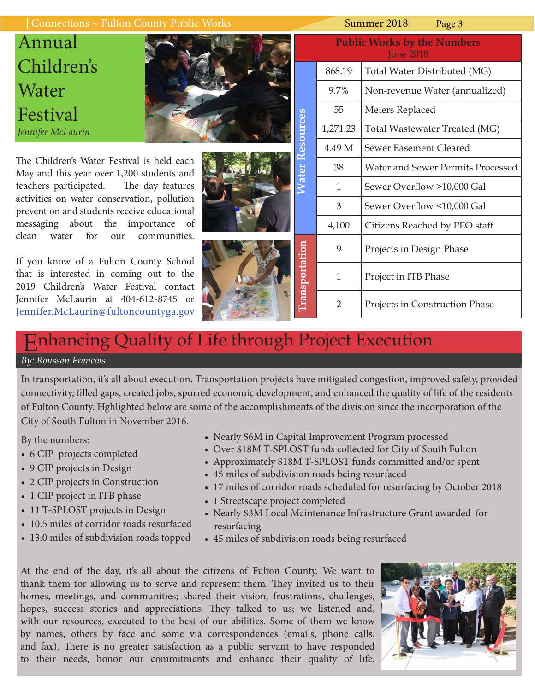#### Connections ~ Fulton County Public Works Summer 2018 Page 3

Annual Children's Water Festival *Jennifer McLaurin*

The Children's Water Festival is held each May and this year over 1,200 students and teachers participated. The day features activities on water conservation, pollution prevention and students receive educational messaging about the importance of clean water for our communities.

If you know of a Fulton County School that is interested in coming out to the 2019 Children's Water Festival contact Jennifer McLaurin at 404-612-8745 or [Jennifer.McLaurin@fultoncountyga.gov](mailto:Jennifer.McLaurin%40fultoncountyga.gov?subject=Children%27s%20Water%20Festival)







| <b>Public Works by the Numbers</b><br><b>June 2018</b> |                                   |  |
|--------------------------------------------------------|-----------------------------------|--|
| 868.19                                                 | Total Water Distributed (MG)      |  |
| 9.7%                                                   | Non-revenue Water (annualized)    |  |
| 55                                                     | Meters Replaced                   |  |
| 1,271.23                                               | Total Wastewater Treated (MG)     |  |
| 4.49 M                                                 | <b>Sewer Easement Cleared</b>     |  |
| 38                                                     | Water and Sewer Permits Processed |  |
| 1                                                      | Sewer Overflow >10,000 Gal        |  |
| 3                                                      | Sewer Overflow <10,000 Gal        |  |
| 4,100                                                  | Citizens Reached by PEO staff     |  |
| 9                                                      | Projects in Design Phase          |  |
| 1                                                      | Project in ITB Phase              |  |
| 2                                                      | Projects in Construction Phase    |  |

# Enhancing Quality of Life through Project Execution

#### *By: Roussan Francois*

In transportation, it's all about execution. Transportation projects have mitigated congestion, improved safety, provided connectivity, filled gaps, created jobs, spurred economic development, and enhanced the quality of life of the residents of Fulton County. Hghlighted below are some of the accomplishments of the division since the incorporation of the City of South Fulton in November 2016.

By the numbers:

- 6 CIP projects completed
- 9 CIP projects in Design
- 2 CIP projects in Construction
- 1 CIP project in ITB phase
- 11 T-SPLOST projects in Design
- 10.5 miles of corridor roads resurfaced
- 13.0 miles of subdivision roads topped
- Nearly \$6M in Capital Improvement Program processed
- Over \$18M T-SPLOST funds collected for City of South Fulton
- Approximately \$18M T-SPLOST funds committed and/or spent
- 45 miles of subdivision roads being resurfaced
- 17 miles of corridor roads scheduled for resurfacing by October 2018
- 1 Streetscape project completed
- Nearly \$3M Local Maintenance Infrastructure Grant awarded for resurfacing
- 45 miles of subdivision roads being resurfaced

At the end of the day, it's all about the citizens of Fulton County. We want to thank them for allowing us to serve and represent them. They invited us to their homes, meetings, and communities; shared their vision, frustrations, challenges, hopes, success stories and appreciations. They talked to us; we listened and, with our resources, executed to the best of our abilities. Some of them we know by names, others by face and some via correspondences (emails, phone calls, and fax). There is no greater satisfaction as a public servant to have responded to their needs, honor our commitments and enhance their quality of life.

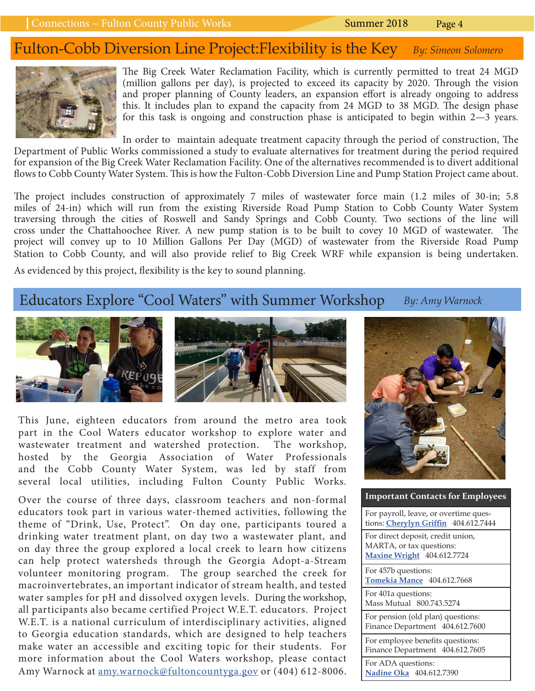# Fulton-Cobb Diversion Line Project:Flexibility is the Key *By: Simeon Solomero*



The Big Creek Water Reclamation Facility, which is currently permitted to treat 24 MGD (million gallons per day), is projected to exceed its capacity by 2020. Through the vision and proper planning of County leaders, an expansion effort is already ongoing to address this. It includes plan to expand the capacity from 24 MGD to 38 MGD. The design phase for this task is ongoing and construction phase is anticipated to begin within 2—3 years.

In order to maintain adequate treatment capacity through the period of construction, The Department of Public Works commissioned a study to evaluate alternatives for treatment during the period required for expansion of the Big Creek Water Reclamation Facility. One of the alternatives recommended is to divert additional flows to Cobb County Water System. This is how the Fulton-Cobb Diversion Line and Pump Station Project came about.

The project includes construction of approximately 7 miles of wastewater force main (1.2 miles of 30-in; 5.8 miles of 24-in) which will run from the existing Riverside Road Pump Station to Cobb County Water System traversing through the cities of Roswell and Sandy Springs and Cobb County. Two sections of the line will cross under the Chattahoochee River. A new pump station is to be built to covey 10 MGD of wastewater. The project will convey up to 10 Million Gallons Per Day (MGD) of wastewater from the Riverside Road Pump Station to Cobb County, and will also provide relief to Big Creek WRF while expansion is being undertaken.

As evidenced by this project, flexibility is the key to sound planning.

# Educators Explore "Cool Waters" with Summer Workshop *By: Amy Warnock*



This June, eighteen educators from around the metro area took part in the Cool Waters educator workshop to explore water and wastewater treatment and watershed protection. The workshop, hosted by the Georgia Association of Water Professionals and the Cobb County Water System, was led by staff from several local utilities, including Fulton County Public Works.

Over the course of three days, classroom teachers and non-formal educators took part in various water-themed activities, following the theme of "Drink, Use, Protect". On day one, participants toured a drinking water treatment plant, on day two a wastewater plant, and on day three the group explored a local creek to learn how citizens can help protect watersheds through the Georgia Adopt-a-Stream volunteer monitoring program. The group searched the creek for macroinvertebrates, an important indicator of stream health, and tested water samples for pH and dissolved oxygen levels. During the workshop, all participants also became certified Project W.E.T. educators. Project W.E.T. is a national curriculum of interdisciplinary activities, aligned to Georgia education standards, which are designed to help teachers make water an accessible and exciting topic for their students. For more information about the Cool Waters workshop, please contact Amy Warnock at [amy.warnock@fultoncountyga.gov](mailto:amy.warnock%40fultoncountyga.gov?subject=) or (404) 612-8006.



#### **Important Contacts for Employees**

For payroll, leave, or overtime questions: **[Cherylyn Griffin](mailto:Cherylyn.griffin%40fultoncountyga.gov?subject=)** 404.612.7444 For direct deposit, credit union, MARTA, or tax questions: **[Maxine Wright](mailto:maxine.wright%40fultoncountyga.gov?subject=)** 404.612.7724 For 457b questions: **[Tomekia Mance](mailto:tomekia.mance%40fultoncountyga.gov?subject=)** 404.612.7668 For 401a questions: Mass Mutual 800.743.5274 For pension (old plan) questions: Finance Department 404.612.7600 For employee benefits questions: Finance Department 404.612.7605 For ADA questions: **[Nadine Oka](mailto:nadine.oka%40fultoncountyga.gov?subject=)** 404.612.7390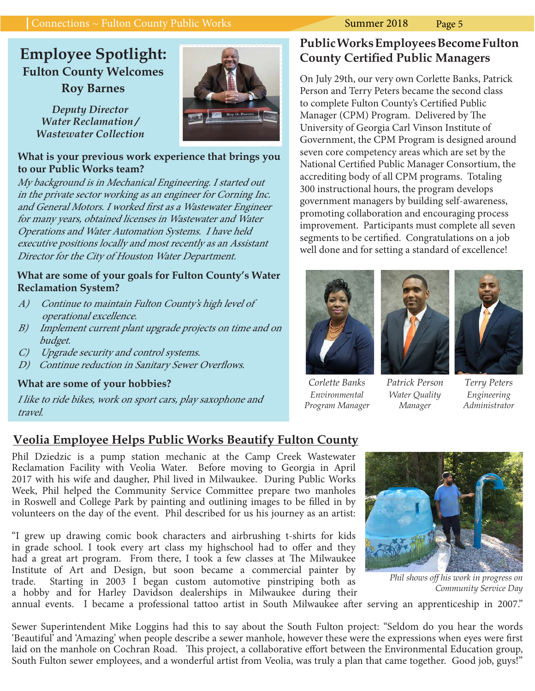# **Employee Spotlight: Fulton County Welcomes Roy Barnes**

*Deputy Director Water Reclamation / Wastewater Collection*



#### **What is your previous work experience that brings you to our Public Works team?**

My background is in Mechanical Engineering. I started out in the private sector working as an engineer for Corning Inc. and General Motors. I worked first as a Wastewater Engineer for many years, obtained licenses in Wastewater and Water Operations and Water Automation Systems. I have held executive positions locally and most recently as an Assistant Director for the City of Houston Water Department.

#### **What are some of your goals for Fulton County's Water Reclamation System?**

- A) Continue to maintain Fulton County's high level of operational excellence.
- B) Implement current plant upgrade projects on time and on budget.
- C) Upgrade security and control systems.
- D) Continue reduction in Sanitary Sewer Overflows.

#### **What are some of your hobbies?**

I like to ride bikes, work on sport cars, play saxophone and travel.

## **Public Works Employees Become Fulton County Certified Public Managers**

On July 29th, our very own Corlette Banks, Patrick Person and Terry Peters became the second class to complete Fulton County's Certified Public Manager (CPM) Program. Delivered by The University of Georgia Carl Vinson Institute of Government, the CPM Program is designed around seven core competency areas which are set by the National Certified Public Manager Consortium, the accrediting body of all CPM programs. Totaling 300 instructional hours, the program develops government managers by building self-awareness, promoting collaboration and encouraging process improvement. Participants must complete all seven segments to be certified. Congratulations on a job well done and for setting a standard of excellence!







*Corlette Banks Environmental Program Manager* *Patrick Person Water Quality Manager*

*Terry Peters Engineering Administrator*

### **Veolia Employee Helps Public Works Beautify Fulton County**

Phil Dziedzic is a pump station mechanic at the Camp Creek Wastewater Reclamation Facility with Veolia Water. Before moving to Georgia in April 2017 with his wife and daugher, Phil lived in Milwaukee. During Public Works Week, Phil helped the Community Service Committee prepare two manholes in Roswell and College Park by painting and outlining images to be filled in by volunteers on the day of the event. Phil described for us his journey as an artist:

"I grew up drawing comic book characters and airbrushing t-shirts for kids in grade school. I took every art class my highschool had to offer and they had a great art program. From there, I took a few classes at The Milwaukee Institute of Art and Design, but soon became a commercial painter by trade. Starting in 2003 I began custom automotive pinstriping both as a hobby and for Harley Davidson dealerships in Milwaukee during their



*Phil shows off his work in progress on Community Service Day*

annual events. I became a professional tattoo artist in South Milwaukee after serving an apprenticeship in 2007."

Sewer Superintendent Mike Loggins had this to say about the South Fulton project: "Seldom do you hear the words 'Beautiful' and 'Amazing' when people describe a sewer manhole, however these were the expressions when eyes were first laid on the manhole on Cochran Road. This project, a collaborative effort between the Environmental Education group, South Fulton sewer employees, and a wonderful artist from Veolia, was truly a plan that came together. Good job, guys!"